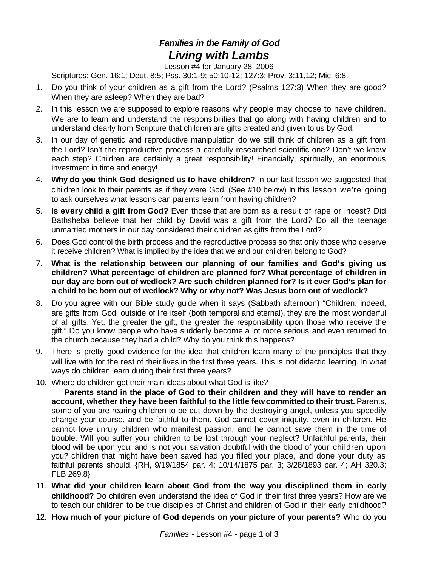## *Families in the Family of God Living with Lambs*

Lesson #4 for January 28, 2006

Scriptures: Gen. 16:1; Deut. 8:5; Pss. 30:1-9; 50:10-12; 127:3; Prov. 3:11,12; Mic. 6:8.

- 1. Do you think of your children as a gift from the Lord? (Psalms 127:3) When they are good? When they are asleep? When they are bad?
- 2. In this lesson we are supposed to explore reasons why people may choose to have children. We are to learn and understand the responsibilities that go along with having children and to understand clearly from Scripture that children are gifts created and given to us by God.
- 3. In our day of genetic and reproductive manipulation do we still think of children as a gift from the Lord? Isn't the reproductive process a carefully researched scientific one? Don't we know each step? Children are certainly a great responsibility! Financially, spiritually, an enormous investment in time and energy!
- 4. **Why do you think God designed us to have children?** In our last lesson we suggested that children look to their parents as if they were God. (See #10 below) In this lesson we're going to ask ourselves what lessons can parents learn from having children?
- 5. **Is every child a gift from God?** Even those that are born as a result of rape or incest? Did Bathsheba believe that her child by David was a gift from the Lord? Do all the teenage unmarried mothers in our day considered their children as gifts from the Lord?
- 6. Does God control the birth process and the reproductive process so that only those who deserve it receive children? What is implied by the idea that we and our children belong to God?
- 7. **What is the relationship between our planning of our families and God's giving us children? What percentage of children are planned for? What percentage of children in our day are born out of wedlock? Are such children planned for? Is it ever God's plan for a child to be born out of wedlock? Why or why not? Was Jesus born out of wedlock?**
- 8. Do you agree with our Bible study guide when it says (Sabbath afternoon) "Children, indeed, are gifts from God; outside of life itself (both temporal and eternal), they are the most wonderful of all gifts. Yet, the greater the gift, the greater the responsibility upon those who receive the gift." Do you know people who have suddenly become a lot more serious and even returned to the church because they had a child? Why do you think this happens?
- 9. There is pretty good evidence for the idea that children learn many of the principles that they will live with for the rest of their lives in the first three years. This is not didactic learning. In what ways do children learn during their first three years?
- 10. Where do children get their main ideas about what God is like?

**Parents stand in the place of God to their children and they will have to render an account, whether they have been faithful to the little fewcommittedto their trust.** Parents, some of you are rearing children to be cut down by the destroying angel, unless you speedily change your course, and be faithful to them. God cannot cover iniquity, even in children. He cannot love unruly children who manifest passion, and he cannot save them in the time of trouble. Will you suffer your children to be lost through your neglect? Unfaithful parents, their blood will be upon you, and is not your salvation doubtful with the blood of your children upon you? children that might have been saved had you filled your place, and done your duty as faithful parents should. {RH, 9/19/1854 par. 4; 10/14/1875 par. 3; 3/28/1893 par. 4; AH 320.3; FLB 269.8}

- 11. **What did your children learn about God from the way you disciplined them in early childhood?** Do children even understand the idea of God in their first three years? How are we to teach our children to be true disciples of Christ and children of God in their early childhood?
- 12. **How much of your picture of God depends on your picture of your parents?** Who do you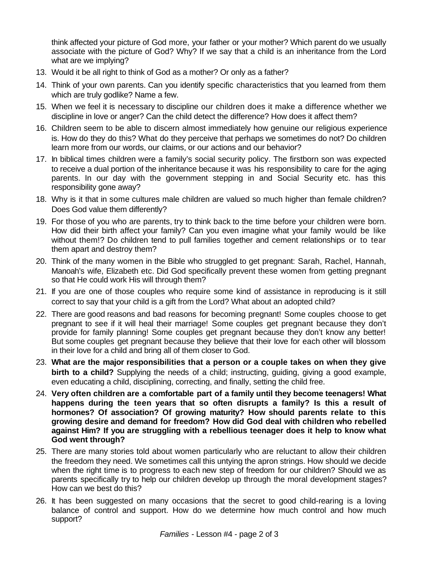think affected your picture of God more, your father or your mother? Which parent do we usually associate with the picture of God? Why? If we say that a child is an inheritance from the Lord what are we implying?

- 13. Would it be all right to think of God as a mother? Or only as a father?
- 14. Think of your own parents. Can you identify specific characteristics that you learned from them which are truly godlike? Name a few.
- 15. When we feel it is necessary to discipline our children does it make a difference whether we discipline in love or anger? Can the child detect the difference? How does it affect them?
- 16. Children seem to be able to discern almost immediately how genuine our religious experience is. How do they do this? What do they perceive that perhaps we sometimes do not? Do children learn more from our words, our claims, or our actions and our behavior?
- 17. In biblical times children were a family's social security policy. The firstborn son was expected to receive a dual portion of the inheritance because it was his responsibility to care for the aging parents. In our day with the government stepping in and Social Security etc. has this responsibility gone away?
- 18. Why is it that in some cultures male children are valued so much higher than female children? Does God value them differently?
- 19. For those of you who are parents, try to think back to the time before your children were born. How did their birth affect your family? Can you even imagine what your family would be like without them!? Do children tend to pull families together and cement relationships or to tear them apart and destroy them?
- 20. Think of the many women in the Bible who struggled to get pregnant: Sarah, Rachel, Hannah, Manoah's wife, Elizabeth etc. Did God specifically prevent these women from getting pregnant so that He could work His will through them?
- 21. If you are one of those couples who require some kind of assistance in reproducing is it still correct to say that your child is a gift from the Lord? What about an adopted child?
- 22. There are good reasons and bad reasons for becoming pregnant! Some couples choose to get pregnant to see if it will heal their marriage! Some couples get pregnant because they don't provide for family planning! Some couples get pregnant because they don't know any better! But some couples get pregnant because they believe that their love for each other will blossom in their love for a child and bring all of them closer to God.
- 23. **What are the major responsibilities that a person or a couple takes on when they give birth to a child?** Supplying the needs of a child; instructing, guiding, giving a good example, even educating a child, disciplining, correcting, and finally, setting the child free.
- 24. **Very often children are a comfortable part of a family until they become teenagers! What happens during the teen years that so often disrupts a family? Is this a result of hormones? Of association? Of growing maturity? How should parents relate to this growing desire and demand for freedom? How did God deal with children who rebelled against Him? If you are struggling with a rebellious teenager does it help to know what God went through?**
- 25. There are many stories told about women particularly who are reluctant to allow their children the freedom they need. We sometimes call this untying the apron strings. How should we decide when the right time is to progress to each new step of freedom for our children? Should we as parents specifically try to help our children develop up through the moral development stages? How can we best do this?
- 26. It has been suggested on many occasions that the secret to good child-rearing is a loving balance of control and support. How do we determine how much control and how much support?